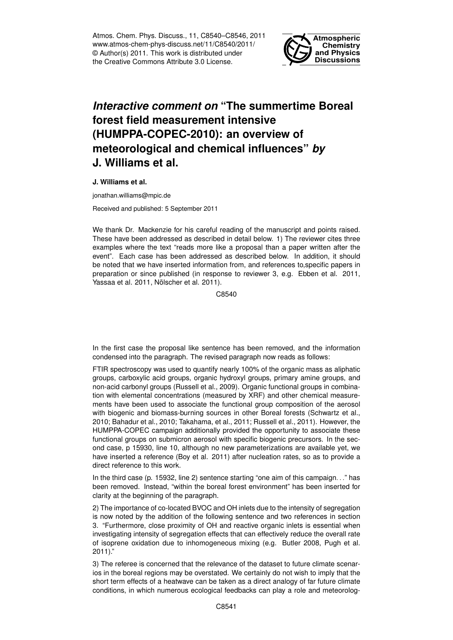Atmos. Chem. Phys. Discuss., 11, C8540–C8546, 2011 www.atmos-chem-phys-discuss.net/11/C8540/2011/ © Author(s) 2011. This work is distributed under the Creative Commons Attribute 3.0 License.



## *Interactive comment on* **"The summertime Boreal forest field measurement intensive (HUMPPA-COPEC-2010): an overview of meteorological and chemical influences"** *by* **J. Williams et al.**

**J. Williams et al.**

jonathan.williams@mpic.de

Received and published: 5 September 2011

We thank Dr. Mackenzie for his careful reading of the manuscript and points raised. These have been addressed as described in detail below. 1) The reviewer cites three examples where the text "reads more like a proposal than a paper written after the event". Each case has been addressed as described below. In addition, it should be noted that we have inserted information from, and references to,specific papers in preparation or since published (in response to reviewer 3, e.g. Ebben et al. 2011, Yassaa et al. 2011, Nölscher et al. 2011).

C8540

In the first case the proposal like sentence has been removed, and the information condensed into the paragraph. The revised paragraph now reads as follows:

FTIR spectroscopy was used to quantify nearly 100% of the organic mass as aliphatic groups, carboxylic acid groups, organic hydroxyl groups, primary amine groups, and non-acid carbonyl groups (Russell et al., 2009). Organic functional groups in combination with elemental concentrations (measured by XRF) and other chemical measurements have been used to associate the functional group composition of the aerosol with biogenic and biomass-burning sources in other Boreal forests (Schwartz et al., 2010; Bahadur et al., 2010; Takahama, et al., 2011; Russell et al., 2011). However, the HUMPPA-COPEC campaign additionally provided the opportunity to associate these functional groups on submicron aerosol with specific biogenic precursors. In the second case, p 15930, line 10, although no new parameterizations are available yet, we have inserted a reference (Boy et al. 2011) after nucleation rates, so as to provide a direct reference to this work.

In the third case (p. 15932, line 2) sentence starting "one aim of this campaign. . ." has been removed. Instead, "within the boreal forest environment" has been inserted for clarity at the beginning of the paragraph.

2) The importance of co-located BVOC and OH inlets due to the intensity of segregation is now noted by the addition of the following sentence and two references in section 3. "Furthermore, close proximity of OH and reactive organic inlets is essential when investigating intensity of segregation effects that can effectively reduce the overall rate of isoprene oxidation due to inhomogeneous mixing (e.g. Butler 2008, Pugh et al. 2011)."

3) The referee is concerned that the relevance of the dataset to future climate scenarios in the boreal regions may be overstated. We certainly do not wish to imply that the short term effects of a heatwave can be taken as a direct analogy of far future climate conditions, in which numerous ecological feedbacks can play a role and meteorolog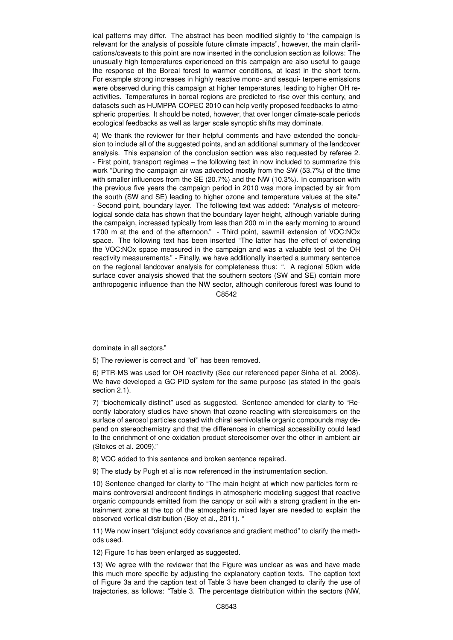ical patterns may differ. The abstract has been modified slightly to "the campaign is relevant for the analysis of possible future climate impacts", however, the main clarifications/caveats to this point are now inserted in the conclusion section as follows: The unusually high temperatures experienced on this campaign are also useful to gauge the response of the Boreal forest to warmer conditions, at least in the short term. For example strong increases in highly reactive mono- and sesqui- terpene emissions were observed during this campaign at higher temperatures, leading to higher OH reactivities. Temperatures in boreal regions are predicted to rise over this century, and datasets such as HUMPPA-COPEC 2010 can help verify proposed feedbacks to atmospheric properties. It should be noted, however, that over longer climate-scale periods ecological feedbacks as well as larger scale synoptic shifts may dominate.

4) We thank the reviewer for their helpful comments and have extended the conclusion to include all of the suggested points, and an additional summary of the landcover analysis. This expansion of the conclusion section was also requested by referee 2. - First point, transport regimes – the following text in now included to summarize this work "During the campaign air was advected mostly from the SW (53.7%) of the time with smaller influences from the SE (20.7%) and the NW (10.3%). In comparison with the previous five years the campaign period in 2010 was more impacted by air from the south (SW and SE) leading to higher ozone and temperature values at the site." - Second point, boundary layer. The following text was added: "Analysis of meteorological sonde data has shown that the boundary layer height, although variable during the campaign, increased typically from less than 200 m in the early morning to around 1700 m at the end of the afternoon." - Third point, sawmill extension of VOC:NOx space. The following text has been inserted "The latter has the effect of extending the VOC:NOx space measured in the campaign and was a valuable test of the OH reactivity measurements." - Finally, we have additionally inserted a summary sentence on the regional landcover analysis for completeness thus: ". A regional 50km wide surface cover analysis showed that the southern sectors (SW and SE) contain more anthropogenic influence than the NW sector, although coniferous forest was found to C8542

dominate in all sectors."

5) The reviewer is correct and "of" has been removed.

6) PTR-MS was used for OH reactivity (See our referenced paper Sinha et al. 2008). We have developed a GC-PID system for the same purpose (as stated in the goals section 2.1).

7) "biochemically distinct" used as suggested. Sentence amended for clarity to "Recently laboratory studies have shown that ozone reacting with stereoisomers on the surface of aerosol particles coated with chiral semivolatile organic compounds may depend on stereochemistry and that the differences in chemical accessibility could lead to the enrichment of one oxidation product stereoisomer over the other in ambient air (Stokes et al. 2009)."

8) VOC added to this sentence and broken sentence repaired.

9) The study by Pugh et al is now referenced in the instrumentation section.

10) Sentence changed for clarity to "The main height at which new particles form remains controversial andrecent findings in atmospheric modeling suggest that reactive organic compounds emitted from the canopy or soil with a strong gradient in the entrainment zone at the top of the atmospheric mixed layer are needed to explain the observed vertical distribution (Boy et al., 2011). "

11) We now insert "disjunct eddy covariance and gradient method" to clarify the methods used.

12) Figure 1c has been enlarged as suggested.

13) We agree with the reviewer that the Figure was unclear as was and have made this much more specific by adjusting the explanatory caption texts. The caption text of Figure 3a and the caption text of Table 3 have been changed to clarify the use of trajectories, as follows: "Table 3. The percentage distribution within the sectors (NW,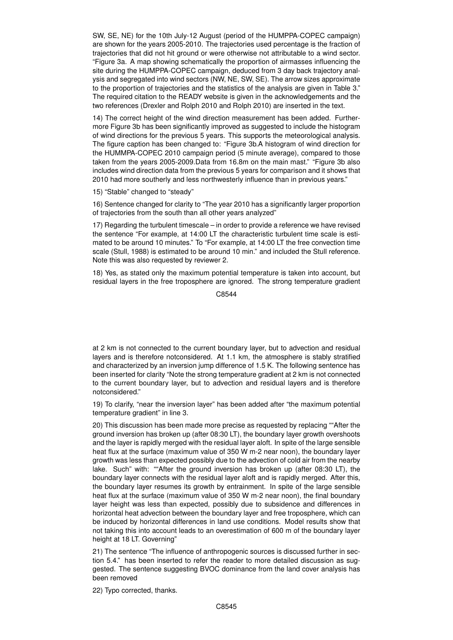SW, SE, NE) for the 10th July-12 August (period of the HUMPPA-COPEC campaign) are shown for the years 2005-2010. The trajectories used percentage is the fraction of trajectories that did not hit ground or were otherwise not attributable to a wind sector. "Figure 3a. A map showing schematically the proportion of airmasses influencing the site during the HUMPPA-COPEC campaign, deduced from 3 day back trajectory analysis and segregated into wind sectors (NW, NE, SW, SE). The arrow sizes approximate to the proportion of trajectories and the statistics of the analysis are given in Table 3." The required citation to the READY website is given in the acknowledgements and the two references (Drexler and Rolph 2010 and Rolph 2010) are inserted in the text.

14) The correct height of the wind direction measurement has been added. Furthermore Figure 3b has been significantly improved as suggested to include the histogram of wind directions for the previous 5 years. This supports the meteorological analysis. The figure caption has been changed to: "Figure 3b.A histogram of wind direction for the HUMMPA-COPEC 2010 campaign period (5 minute average), compared to those taken from the years 2005-2009.Data from 16.8m on the main mast." "Figure 3b also includes wind direction data from the previous 5 years for comparison and it shows that 2010 had more southerly and less northwesterly influence than in previous years."

15) "Stable" changed to "steady"

16) Sentence changed for clarity to "The year 2010 has a significantly larger proportion of trajectories from the south than all other years analyzed"

17) Regarding the turbulent timescale – in order to provide a reference we have revised the sentence "For example, at 14:00 LT the characteristic turbulent time scale is estimated to be around 10 minutes." To "For example, at 14:00 LT the free convection time scale (Stull, 1988) is estimated to be around 10 min." and included the Stull reference. Note this was also requested by reviewer 2.

18) Yes, as stated only the maximum potential temperature is taken into account, but residual layers in the free troposphere are ignored. The strong temperature gradient

C8544

at 2 km is not connected to the current boundary layer, but to advection and residual layers and is therefore notconsidered. At 1.1 km, the atmosphere is stably stratified and characterized by an inversion jump difference of 1.5 K. The following sentence has been inserted for clarity "Note the strong temperature gradient at 2 km is not connected to the current boundary layer, but to advection and residual layers and is therefore notconsidered."

19) To clarify, "near the inversion layer" has been added after "the maximum potential temperature gradient" in line 3.

20) This discussion has been made more precise as requested by replacing ""After the ground inversion has broken up (after 08:30 LT), the boundary layer growth overshoots and the layer is rapidly merged with the residual layer aloft. In spite of the large sensible heat flux at the surface (maximum value of 350 W m-2 near noon), the boundary layer growth was less than expected possibly due to the advection of cold air from the nearby lake. Such" with: ""After the ground inversion has broken up (after 08:30 LT), the boundary layer connects with the residual layer aloft and is rapidly merged. After this, the boundary layer resumes its growth by entrainment. In spite of the large sensible heat flux at the surface (maximum value of 350 W m-2 near noon), the final boundary layer height was less than expected, possibly due to subsidence and differences in horizontal heat advection between the boundary layer and free troposphere, which can be induced by horizontal differences in land use conditions. Model results show that not taking this into account leads to an overestimation of 600 m of the boundary layer height at 18 LT. Governing"

21) The sentence "The influence of anthropogenic sources is discussed further in section 5.4." has been inserted to refer the reader to more detailed discussion as suggested. The sentence suggesting BVOC dominance from the land cover analysis has been removed

22) Typo corrected, thanks.